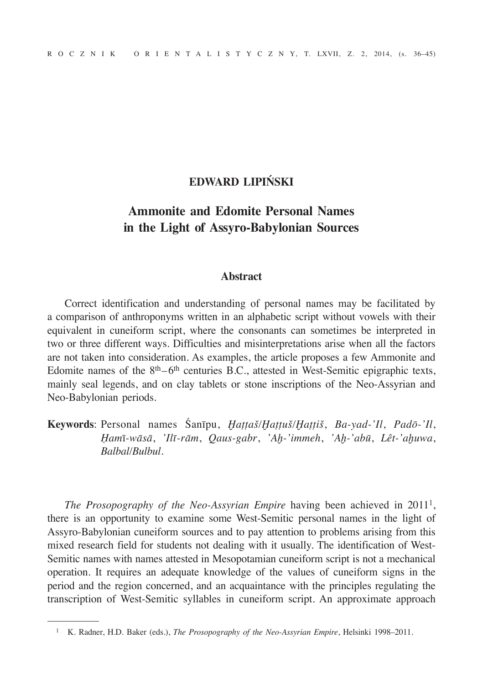## **EDWARD LIPIŃSKI**

## **Ammonite and Edomite Personal Names in the Light of Assyro-Babylonian Sources**

## **Abstract**

Correct identification and understanding of personal names may be facilitated by a comparison of anthroponyms written in an alphabetic script without vowels with their equivalent in cuneiform script, where the consonants can sometimes be interpreted in two or three different ways. Difficulties and misinterpretations arise when all the factors are not taken into consideration. As examples, the article proposes a few Ammonite and Edomite names of the  $8<sup>th</sup>–6<sup>th</sup>$  centuries B.C., attested in West-Semitic epigraphic texts, mainly seal legends, and on clay tablets or stone inscriptions of the Neo-Assyrian and Neo-Babylonian periods.

**Keywords**: Personal names Śanīpu, *Ḫaṭṭaš/Ḫaṭṭuš/Ḫaṭṭiš*, *Ba-yad-'Il*, *Padō-'Il*, *Ḥam*ī*-wāsā*, *'Ilī-rām*, *Qaus-gabr*, *'Aḫ-'immeh*, *'Aḫ-'abū*, *Lêt-'aḫuwa*, *Balbal/Bulbul*.

*The Prosopography of the Neo-Assyrian Empire* having been achieved in 2011<sup>1</sup>, there is an opportunity to examine some West-Semitic personal names in the light of Assyro-Babylonian cuneiform sources and to pay attention to problems arising from this mixed research field for students not dealing with it usually. The identification of West-Semitic names with names attested in Mesopotamian cuneiform script is not a mechanical operation. It requires an adequate knowledge of the values of cuneiform signs in the period and the region concerned, and an acquaintance with the principles regulating the transcription of West-Semitic syllables in cuneiform script. An approximate approach

<sup>1</sup> K. Radner, H.D. Baker (eds.), *The Prosopography of the Neo-Assyrian Empire*, Helsinki 1998–2011.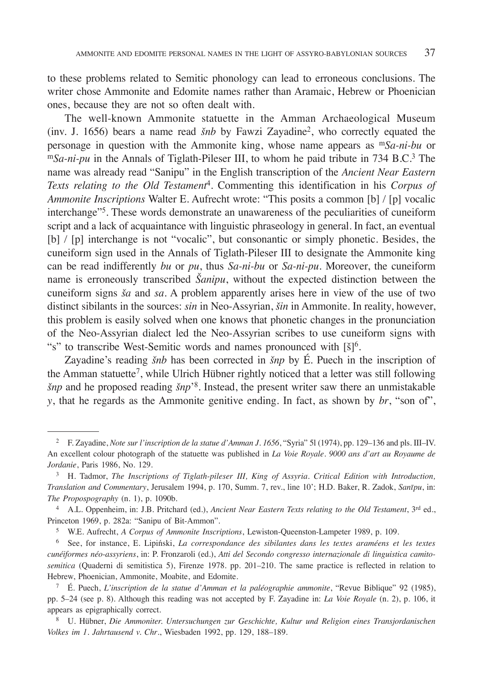to these problems related to Semitic phonology can lead to erroneous conclusions. The writer chose Ammonite and Edomite names rather than Aramaic, Hebrew or Phoenician ones, because they are not so often dealt with.

The well-known Ammonite statuette in the Amman Archaeological Museum (inv. J. 1656) bears a name read *šnb* by Fawzi Zayadine<sup>2</sup>, who correctly equated the personage in question with the Ammonite king, whose name appears as m*Sa-ni-bu* or m*Sa-ni-pu* in the Annals of Tiglath-Pileser III, to whom he paid tribute in 734 B.C.<sup>3</sup> The name was already read "Sanipu" in the English transcription of the *Ancient Near Eastern Texts relating to the Old Testament*4. Commenting this identification in his *Corpus of Ammonite Inscriptions* Walter E. Aufrecht wrote: "This posits a common [b] */* [p] vocalic interchange"5. These words demonstrate an unawareness of the peculiarities of cuneiform script and a lack of acquaintance with linguistic phraseology in general. In fact, an eventual [b] */* [p] interchange is not "vocalic", but consonantic or simply phonetic. Besides, the cuneiform sign used in the Annals of Tiglath-Pileser III to designate the Ammonite king can be read indifferently *bu* or *pu*, thus *Sa-ni-bu* or *Sa-ni-pu*. Moreover, the cuneiform name is erroneously transcribed *Šanipu*, without the expected distinction between the cuneiform signs *ša* and *sa*. A problem apparently arises here in view of the use of two distinct sibilants in the sources: *sin* in Neo-Assyrian, *šin* in Ammonite. In reality, however, this problem is easily solved when one knows that phonetic changes in the pronunciation of the Neo-Assyrian dialect led the Neo-Assyrian scribes to use cuneiform signs with "s" to transcribe West-Semitic words and names pronounced with  $\lbrack \S \rbrack^6$ .

Zayadine's reading *šnb* has been corrected in *šnp* by É. Puech in the inscription of the Amman statuette7, while Ulrich Hübner rightly noticed that a letter was still following *šnp* and he proposed reading *šnp*'8. Instead, the present writer saw there an unmistakable *y*, that he regards as the Ammonite genitive ending. In fact, as shown by *br*, "son of",

<sup>5</sup> W.E. Aufrecht, *A Corpus of Ammonite Inscriptions*, Lewiston-Queenston-Lampeter 1989, p. 109.

<sup>6</sup> See, for instance, E. Lipiński, *La correspondance des sibilantes dans les textes araméens et les textes cunéiformes néo-assyriens*, in: P. Fronzaroli (ed.), *Atti del Secondo congresso internazionale di linguistica camitosemitica* (Quaderni di semitistica 5), Firenze 1978. pp. 201–210. The same practice is reflected in relation to Hebrew, Phoenician, Ammonite, Moabite, and Edomite. 7 É. Puech, *L'inscription de la statue d'Amman et la paléographie ammonite*, "Revue Biblique" 92 (1985),

pp. 5–24 (see p. 8). Although this reading was not accepted by F. Zayadine in: *La Voie Royale* (n. 2), p. 106, it appears as epigraphically correct.

<sup>8</sup> U. Hübner, *Die Ammoniter. Untersuchungen zur Geschichte, Kultur und Religion eines Transjordanischen Volkes im 1. Jahrtausend v. Chr*., Wiesbaden 1992, pp. 129, 188–189.

<sup>2</sup> F. Zayadine, *Note sur l'inscription de la statue d'Amman J. 1656*, "Syria" 5l (1974), pp. 129–136 and pls. III–IV. An excellent colour photograph of the statuette was published in *La Voie Royale. 9000 ans d'art au Royaume de Jordanie*, Paris 1986, No. 129.

<sup>3</sup> H. Tadmor, *The Inscriptions of Tiglath-pileser III, King of Assyria. Critical Edition with Introduction, Translation and Commentary*, Jerusalem 1994, p. 170, Summ. 7, rev., line 10'; H.D. Baker, R. Zadok, *Sanīpu*, in: *The Propospography* (n. 1), p. 1090b.

<sup>4</sup> A.L. Oppenheim, in: J.B. Pritchard (ed.), *Ancient Near Eastern Texts relating to the Old Testament*, 3rd ed., Princeton 1969, p. 282a: "Sanipu of Bit-Ammon".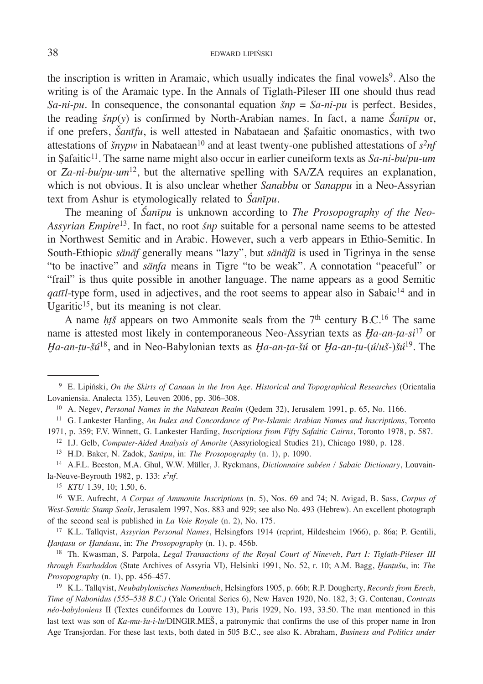the inscription is written in Aramaic, which usually indicates the final vowels<sup>9</sup>. Also the writing is of the Aramaic type. In the Annals of Tiglath-Pileser III one should thus read *Sa-ni-pu*. In consequence, the consonantal equation *šnp* = *Sa-ni-pu* is perfect. Besides, the reading *šnp*(*y*) is confirmed by North-Arabian names. In fact, a name *Śanīpu* or, if one prefers, *Šanīfu*, is well attested in Nabataean and Ṣafaitic onomastics, with two attestations of *šnypw* in Nabataean<sup>10</sup> and at least twenty-one published attestations of  $s^2nf$ in Safaitic<sup>11</sup>. The same name might also occur in earlier cuneiform texts as *Sa-ni-bu/pu-um* or *Za-ni-bu/pu-um*12, but the alternative spelling with SA/ZA requires an explanation, which is not obvious. It is also unclear whether *Sanabbu* or *Sanappu* in a Neo-Assyrian text from Ashur is etymologically related to *Śanīpu*.

The meaning of *Śanīpu* is unknown according to *The Prosopography of the Neo-Assyrian Empire*13. In fact, no root *śnp* suitable for a personal name seems to be attested in Northwest Semitic and in Arabic. However, such a verb appears in Ethio-Semitic. In South-Ethiopic *sänäf* generally means "lazy", but *sänäfä* is used in Tigrinya in the sense "to be inactive" and *sänfa* means in Tigre "to be weak". A connotation "peaceful" or "frail" is thus quite possible in another language. The name appears as a good Semitic *qatīl*-type form, used in adjectives, and the root seems to appear also in Sabaic<sup>14</sup> and in Ugaritic<sup>15</sup>, but its meaning is not clear.

A name *ht*š appears on two Ammonite seals from the  $7<sup>th</sup>$  century B.C.<sup>16</sup> The same name is attested most likely in contemporaneous Neo-Assyrian texts as *Ḫa-an-ṭa-si*17 or *Ḫa-an-ṭu-šú*18, and in Neo-Babylonian texts as *Ḫa-an-ṭa-šú* or *Ḫa-an-ṭu-*(*ú/uš-*)*šú*19. The

<sup>13</sup> H.D. Baker, N. Zadok, *Sanīpu*, in: *The Prosopography* (n. 1), p. 1090.

<sup>14</sup> A.F.L. Beeston, M.A. Ghul, W.W. Müller, J. Ryckmans, *Dictionnaire sabéen / Sabaic Dictionary*, Louvainla-Neuve-Beyrouth 1982, p. 133: *s2nf*.

<sup>15</sup> *KTU* 1.39, 10; 1.50, 6.

<sup>17</sup> K.L. Tallqvist, *Assyrian Personal Names*, Helsingfors 1914 (reprint, Hildesheim 1966), p. 86a; P. Gentili, *Hantasu or Handasu*, in: *The Prosopography* (n. 1), p. 456b.<br><sup>18</sup> Th. Kwasman, S. Parpola, *Legal Transactions of the Royal Court of Nineveh*, *Part I: Tiglath-Pileser III* 

*through Esarhaddon* (State Archives of Assyria VI), Helsinki 1991, No. 52, r. 10; A.M. Bagg, *Ḫanṭušu*, in: *The Prosopography* (n. 1), pp. 456–457.

<sup>19</sup> K.L. Tallqvist, *Neubabylonisches Namenbuch*, Helsingfors 1905, p. 66b; R.P. Dougherty, *Records from Erech, Time of Nabonidus (555–538 B.C.)* (Yale Oriental Series 6), New Haven 1920, No. 182, 3; G. Contenau, *Contrats néo-babyloniens* II (Textes cunéiformes du Louvre 13), Paris 1929, No. 193, 33.50. The man mentioned in this last text was son of *Ka-mu-šu-i-lu*/DINGIR.MEŠ, a patronymic that confirms the use of this proper name in Iron Age Transjordan. For these last texts, both dated in 505 B.C., see also K. Abraham, *Business and Politics under* 

<sup>9</sup> E. Lipiński, *On the Skirts of Canaan in the Iron Age. Historical and Topographical Researches* (Orientalia Lovaniensia. Analecta 135), Leuven 2006, pp. 306–308.

<sup>10</sup> A. Negev, *Personal Names in the Nabatean Realm* (Qedem 32), Jerusalem 1991, p. 65, No. 1166.

<sup>11</sup> G. Lankester Harding, *An Index and Concordance of Pre-Islamic Arabian Names and Inscriptions*, Toronto 1971, p. 359; F.V. Winnett, G. Lankester Harding, *Inscriptions from Fifty Safaitic Cairns*, Toronto 1978, p. 587.

<sup>12</sup> I.J. Gelb, *Computer-Aided Analysis of Amorite* (Assyriological Studies 21), Chicago 1980, p. 128.

<sup>16</sup> W.E. Aufrecht, *A Corpus of Ammonite Inscriptions* (n. 5), Nos. 69 and 74; N. Avigad, B. Sass, *Corpus of West-Semitic Stamp Seals*, Jerusalem 1997, Nos. 883 and 929; see also No. 493 (Hebrew). An excellent photograph of the second seal is published in *La Voie Royale* (n. 2), No. 175.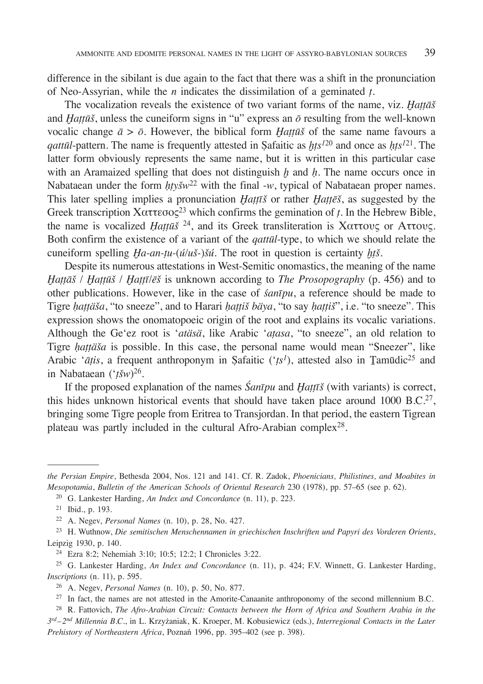difference in the sibilant is due again to the fact that there was a shift in the pronunciation of Neo-Assyrian, while the *n* indicates the dissimilation of a geminated *ṭ*.

The vocalization reveals the existence of two variant forms of the name, viz. *Ḫaṭṭāš* and  $H\alpha t\bar{\mu}\bar{s}$ , unless the cuneiform signs in "u" express an  $\bar{\sigma}$  resulting from the well-known vocalic change  $\bar{a} > \bar{o}$ . However, the biblical form *Hattūš* of the same name favours a *qattūl*-pattern. The name is frequently attested in Ṣafaitic as *ḫṭs<sup>1</sup>*<sup>20</sup> and once as *ḥṭs<sup>1</sup>*<sup>21</sup>. The latter form obviously represents the same name, but it is written in this particular case with an Aramaized spelling that does not distinguish *ḫ* and *ḥ*. The name occurs once in Nabataean under the form  $hty\ddot{s}w^{22}$  with the final -w, typical of Nabataean proper names. This later spelling implies a pronunciation *Ḫaṭṭīš* or rather *Ḫaṭṭēš*, as suggested by the Greek transcription Χαττεσος23 which confirms the gemination of *ṭ*. In the Hebrew Bible, the name is vocalized *Ḥaṭṭūš* 24, and its Greek transliteration is Χαττους or Αττους. Both confirm the existence of a variant of the *qattūl*-type, to which we should relate the cuneiform spelling *Ḫa-an-ṭu-*(*ú/uš-*)*šú*. The root in question is certainty *ḫṭš*.

Despite its numerous attestations in West-Semitic onomastics, the meaning of the name *Ḫaṭṭāš* / *Ḫaṭṭūš* / *Ḫaṭṭī*/*ēš* is unknown according to *The Prosopography* (p. 456) and to other publications. However, like in the case of *śanīpu*, a reference should be made to Tigre *ḥaṭṭäša*, "to sneeze", and to Harari *ḥaṭṭiš bäya*, "to say *ḥaṭṭiš*", i.e. "to sneeze". This expression shows the onomatopoeic origin of the root and explains its vocalic variations. Although the Ge'ez root is '*atäsä*, like Arabic '*aṭasa*, "to sneeze", an old relation to Tigre *ḥaṭṭäša* is possible. In this case, the personal name would mean "Sneezer", like Arabic '*āṭis*, a frequent anthroponym in Safaitic ('*ts<sup>1</sup>*), attested also in *Tamūdic*<sup>25</sup> and in Nabataean ('*ṭšw*)26.

If the proposed explanation of the names *Śanīpu* and *Ḫaṭṭīš* (with variants) is correct, this hides unknown historical events that should have taken place around 1000 B.C.27, bringing some Tigre people from Eritrea to Transjordan. In that period, the eastern Tigrean plateau was partly included in the cultural Afro-Arabian complex<sup>28</sup>.

*the Persian Empire*, Bethesda 2004, Nos. 121 and 141. Cf. R. Zadok, *Phoenicians, Philistines, and Moabites in Mesopotamia*, *Bulletin of the American Schools of Oriental Research* 230 (1978), pp. 57–65 (see p. 62).

<sup>20</sup> G. Lankester Harding, *An Index and Concordance* (n. 11), p. 223.

<sup>21</sup> Ibid., p. 193.

<sup>22</sup> A. Negev, *Personal Names* (n. 10), p. 28, No. 427.

<sup>23</sup> H. Wuthnow, *Die semitischen Menschennamen in griechischen Inschriften und Papyri des Vorderen Orients*, Leipzig 1930, p. 140.

<sup>24</sup> Ezra 8:2; Nehemiah 3:10; 10:5; 12:2; I Chronicles 3:22.

<sup>25</sup> G. Lankester Harding, *An Index and Concordance* (n. 11), p. 424; F.V. Winnett, G. Lankester Harding, *Inscriptions* (n. 11), p. 595.

<sup>26</sup> A. Negev, *Personal Names* (n. 10), p. 50, No. 877.

<sup>&</sup>lt;sup>27</sup> In fact, the names are not attested in the Amorite-Canaanite anthroponomy of the second millennium B.C.

<sup>28</sup> R. Fattovich, *The Afro-Arabian Circuit: Contacts between the Horn of Africa and Southern Arabia in the 3rd–2nd Millennia B.C.*, in L. Krzyżaniak, K. Kroeper, M. Kobusiewicz (eds.), *Interregional Contacts in the Later Prehistory of Northeastern Africa*, Poznań 1996, pp. 395–402 (see p. 398).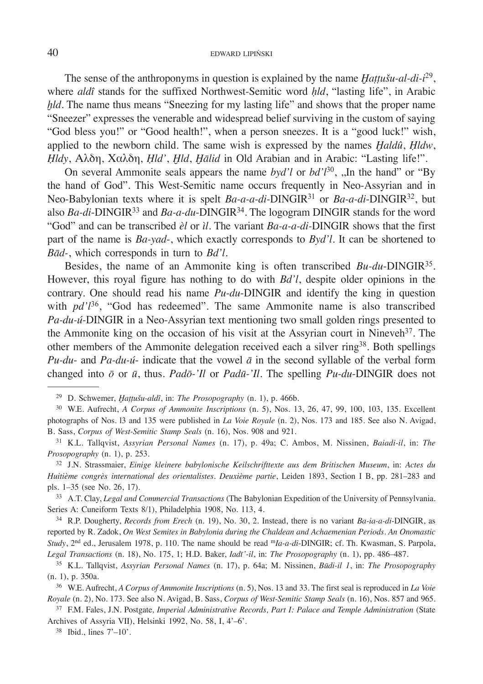The sense of the anthroponyms in question is explained by the name *Hattušu-al-di-i*<sup>29</sup>, where *aldî* stands for the suffixed Northwest-Semitic word *ḥld*, "lasting life", in Arabic *hld*. The name thus means "Sneezing for my lasting life" and shows that the proper name "Sneezer" expresses the venerable and widespread belief surviving in the custom of saying "God bless you!" or "Good health!", when a person sneezes. It is a "good luck!" wish, applied to the newborn child. The same wish is expressed by the names *Ḫaldû*, *Ḥldw*, *Ḥldy*, Αλδη, Χαλδη, *Ḥld'*, *Ḫld*, *Ḫālid* in Old Arabian and in Arabic: "Lasting life!".

On several Ammonite seals appears the name *byd'l* or *bd'l*30, ,,In the hand" or "By the hand of God". This West-Semitic name occurs frequently in Neo-Assyrian and in Neo-Babylonian texts where it is spelt *Ba-a-a-di*-DINGIR31 or *Ba-a-di*-DINGIR32, but also *Ba-di*-DINGIR33 and *Ba-a-du*-DINGIR34. The logogram DINGIR stands for the word "God" and can be transcribed *èl* or *ìl*. The variant *Ba-a-a-di-*DINGIR shows that the first part of the name is *Ba-yad*-, which exactly corresponds to *Byd'l*. It can be shortened to *Bād-*, which corresponds in turn to *Bd'l*.

Besides, the name of an Ammonite king is often transcribed *Bu-du*-DINGIR35. However, this royal figure has nothing to do with *Bd'l*, despite older opinions in the contrary. One should read his name *Pu-du*-DINGIR and identify the king in question with  $pd'l^{36}$ , "God has redeemed". The same Ammonite name is also transcribed *Pa-du-ú*-DINGIR in a Neo-Assyrian text mentioning two small golden rings presented to the Ammonite king on the occasion of his visit at the Assyrian court in Nineveh<sup>37</sup>. The other members of the Ammonite delegation received each a silver ring38. Both spellings *Pu-du*- and *Pa-du-ú*- indicate that the vowel *ā* in the second syllable of the verbal form changed into *ō* or *ū*, thus. *Padō-'Il* or *Padū-'Il*. The spelling *Pu-du*-DINGIR does not

<sup>34</sup> R.P. Dougherty, *Records from Erech* (n. 19), No. 30, 2. Instead, there is no variant *Ba-ia-a-di*-DINGIR, as reported by R. Zadok, *On West Semites in Babylonia during the Chaldean and Achaemenian Periods. An Onomastic Study*, 2nd ed., Jerusalem 1978, p. 110. The name should be read m*Ia-a-di*-DINGIR; cf. Th. Kwasman, S. Parpola, *Legal Transactions* (n. 18), No. 175, 1; H.D. Baker, *Iadī'-il*, in: *The Prosopography* (n. 1), pp. 486–487.

<sup>29</sup> D. Schwemer, *Ḫaṭṭušu-aldî*, in: *The Prosopography* (n. 1), p. 466b.

<sup>30</sup> W.E. Aufrecht, *A Corpus of Ammonite Inscriptions* (n. 5), Nos. 13, 26, 47, 99, 100, 103, 135. Excellent photographs of Nos. l3 and 135 were published in *La Voie Royale* (n. 2), Nos. 173 and 185. See also N. Avigad, B. Sass, *Corpus of West-Semitic Stamp Seals* (n. 16), Nos. 908 and 921.

<sup>31</sup> K.L. Tallqvist, *Assyrian Personal Names* (n. 17), p. 49a; C. Ambos, M. Nissinen, *Baiadi-il*, in: *The Prosopography* (n. 1), p. 253.

<sup>32</sup> J.N. Strassmaier, *Einige kleinere babylonische Keilschrifttexte aus dem Britischen Museum*, in: *Actes du Huitième congrès international des orientalistes. Deuxième partie*, Leiden 1893, Section I B, pp. 281–283 and pls. 1–35 (see No. 26, 17).

<sup>33</sup> A.T. Clay, *Legal and Commercial Transactions* (The Babylonian Expedition of the University of Pennsylvania. Series A: Cuneiform Texts 8/1), Philadelphia 1908, No. 113, 4.

<sup>35</sup> K.L. Tallqvist, *Assyrian Personal Names* (n. 17), p. 64a; M. Nissinen, *Būdi-il 1*, in: *The Prosopography* (n. 1), p. 350a.

<sup>36</sup> W.E. Aufrecht, *A Corpus of Ammonite Inscriptions* (n. 5), Nos. 13 and 33. The first seal is reproduced in *La Voie Royale* (n. 2), No. 173. See also N. Avigad, B. Sass, *Corpus of West-Semitic Stamp Seals* (n. 16), Nos. 857 and 965.

<sup>37</sup> F.M. Fales, J.N. Postgate*, Imperial Administrative Records, Part I: Palace and Temple Administration* (State Archives of Assyria VII), Helsinki 1992, No. 58, I, 4'–6'.

 $38$  Ibid., lines  $7'-10'$ .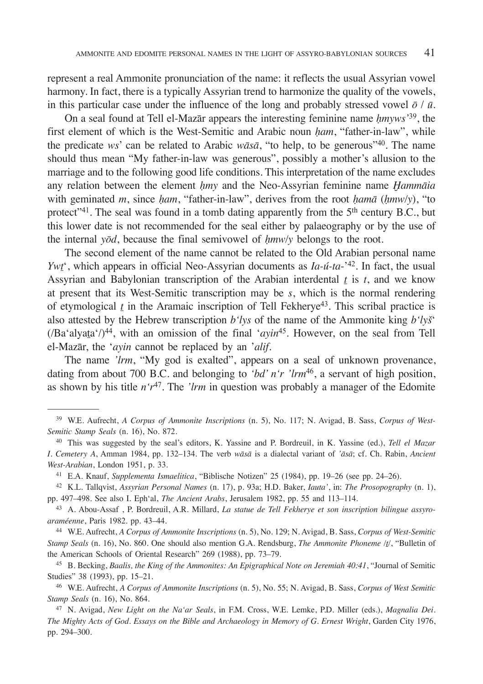represent a real Ammonite pronunciation of the name: it reflects the usual Assyrian vowel harmony. In fact, there is a typically Assyrian trend to harmonize the quality of the vowels, in this particular case under the influence of the long and probably stressed vowel  $\bar{\sigma}$  /  $\bar{u}$ .

On a seal found at Tell el-Mazār appears the interesting feminine name *ḥmyws'*<sup>39</sup>, the first element of which is the West-Semitic and Arabic noun *ḥam*, "father-in-law", while the predicate *ws*' can be related to Arabic *wāsā*, "to help, to be generous"<sup>40</sup>. The name should thus mean "My father-in-law was generous", possibly a mother's allusion to the marriage and to the following good life conditions. This interpretation of the name excludes any relation between the element *ḥmy* and the Neo-Assyrian feminine name *Ḫammāia* with geminated *m*, since *ham*, "father-in-law", derives from the root *hamā* (*hmw/y*), "to protect"<sup>41</sup>. The seal was found in a tomb dating apparently from the  $5<sup>th</sup>$  century B.C., but this lower date is not recommended for the seal either by palaeography or by the use of the internal *yōd*, because the final semivowel of *ḥmw/y* belongs to the root.

The second element of the name cannot be related to the Old Arabian personal name *Ywt*', which appears in official Neo-Assyrian documents as *Ia-ú-ta*-'42. In fact, the usual Assyrian and Babylonian transcription of the Arabian interdental *t* is *t*, and we know at present that its West-Semitic transcription may be *s*, which is the normal rendering of etymological  $t$  in the Aramaic inscription of Tell Fekherye<sup>43</sup>. This scribal practice is also attested by the Hebrew transcription *b'lys* of the name of the Ammonite king *b'lyš*' (/Ba'alyata'/)44, with an omission of the final '*ayin*45. However, on the seal from Tell el-Mazār, the '*ayin* cannot be replaced by an '*alif*.

The name *'lrm*, "My god is exalted", appears on a seal of unknown provenance, dating from about 700 B.C. and belonging to *'bd' n'r 'lrm*46, a servant of high position, as shown by his title  $n'r^{47}$ . The *'lrm* in question was probably a manager of the Edomite

<sup>39</sup> W.E. Aufrecht, *A Corpus of Ammonite Inscriptions* (n. 5), No. 117; N. Avigad, B. Sass, *Corpus of West-Semitic Stamp Seals* (n. 16), No. 872.

<sup>40</sup> This was suggested by the seal's editors, K. Yassine and P. Bordreuil, in K. Yassine (ed.), *Tell el Mazar I. Cemetery A*, Amman 1984, pp. 132–134. The verb *wāsā* is a dialectal variant of *'āsā*; cf. Ch. Rabin, *Ancient West-Arabian*, London 1951, p. 33.

<sup>41</sup> E.A. Knauf, *Supplementa Ismaelitica*, "Biblische Notizen" 25 (1984), pp. 19–26 (see pp. 24–26).

<sup>42</sup> K.L. Tallqvist, *Assyrian Personal Names* (n. 17), p. 93a; H.D. Baker, *Iauta'*, in: *The Prosopography* (n. 1), pp. 497–498. See also I. Eph'al, *The Ancient Arabs*, Jerusalem 1982, pp. 55 and 113–114.

<sup>43</sup> A. Abou-Assaf , P. Bordreuil, A.R. Millard, *La statue de Tell Fekherye et son inscription bilingue assyroaraméenne*, Paris 1982. pp. 43–44.

<sup>44</sup> W.E. Aufrecht, *A Corpus of Ammonite Inscriptions* (n. 5), No. 129; N. Avigad, B. Sass, *Corpus of West-Semitic Stamp Seals* (n. 16), No. 860. One should also mention G.A. Rendsburg, *The Ammonite Phoneme /t/*, "Bulletin of the American Schools of Oriental Research" 269 (1988), pp. 73–79.<br><sup>45</sup> B. Becking, *Baalis, the King of the Ammonites: An Epigraphical Note on Jeremiah 40:41*, "Journal of Semitic

Studies" 38 (1993), pp. 15–21.

<sup>46</sup> W.E. Aufrecht, *A Corpus of Ammonite Inscriptions* (n. 5), No. 55; N. Avigad, B. Sass, *Corpus of West Semitic Stamp Seals* (n. 16), No. 864.

<sup>47</sup> N. Avigad, *New Light on the Na'ar Seals*, in F.M. Cross, W.E. Lemke, P.D. Miller (eds.), *Magnalia Dei. The Mighty Acts of God. Essays on the Bible and Archaeology in Memory of G. Ernest Wright*, Garden City 1976, pp. 294–300.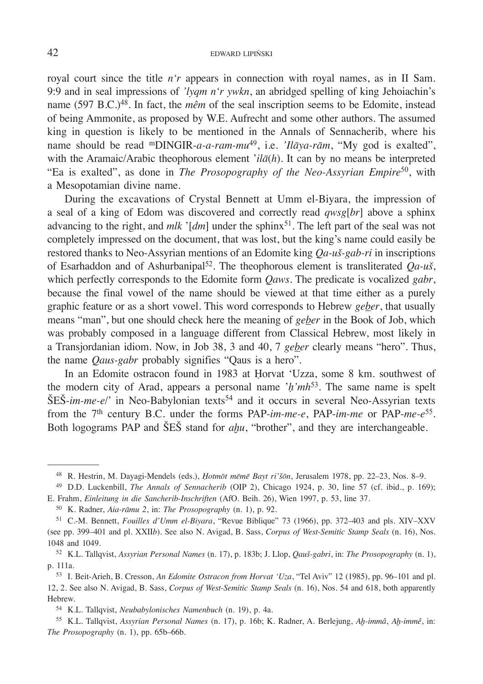royal court since the title *n'r* appears in connection with royal names, as in II Sam. 9:9 and in seal impressions of *'lyqm n'r ywkn*, an abridged spelling of king Jehoiachin's name (597 B.C.)<sup>48</sup>. In fact, the *mêm* of the seal inscription seems to be Edomite, instead of being Ammonite, as proposed by W.E. Aufrecht and some other authors. The assumed king in question is likely to be mentioned in the Annals of Sennacherib, where his name should be read mDINGIR-*a-a-ram-mu*<sup>49</sup>, i.e. *'Ilāya-rām*, "My god is exalted", with the Aramaic/Arabic theophorous element '*ilā*(*h*). It can by no means be interpreted "Ea is exalted", as done in *The Prosopography of the Neo-Assyrian Empire*50, with a Mesopotamian divine name.

During the excavations of Crystal Bennett at Umm el-Biyara, the impression of a seal of a king of Edom was discovered and correctly read *qwsg*[*br*] above a sphinx advancing to the right, and *mlk* '[*dm*] under the sphinx<sup>51</sup>. The left part of the seal was not completely impressed on the document, that was lost, but the king's name could easily be restored thanks to Neo-Assyrian mentions of an Edomite king *Qa-uš-gab-ri* in inscriptions of Esarhaddon and of Ashurbanipal<sup>52</sup>. The theophorous element is transliterated  $Qa$ -uš, which perfectly corresponds to the Edomite form *Qaws*. The predicate is vocalized *gabr*, because the final vowel of the name should be viewed at that time either as a purely graphic feature or as a short vowel. This word corresponds to Hebrew *geber*, that usually means "man", but one should check here the meaning of *geber* in the Book of Job, which was probably composed in a language different from Classical Hebrew, most likely in a Transjordanian idiom. Now, in Job 38, 3 and 40, 7 *geber* clearly means "hero". Thus, the name *Qaus-gabr* probably signifies "Qaus is a hero".

In an Edomite ostracon found in 1983 at Ḥorvat 'Uzza, some 8 km. southwest of the modern city of Arad, appears a personal name '*ḥ'mh*53. The same name is spelt ŠEŠ-*im-me-e*/' in Neo-Babylonian texts54 and it occurs in several Neo-Assyrian texts from the 7th century B.C. under the forms PAP-*im-me-e*, PAP-*im-me* or PAP-*me-e*55. Both logograms PAP and ŠEŠ stand for *aḫu*, "brother", and they are interchangeable.

<sup>48</sup> R. Hestrin, M. Dayagi-Mendels (eds.), *Ḥotmōt mēmē Bayt ri'šōn*, Jerusalem 1978, pp. 22–23, Nos. 8–9.

<sup>49</sup> D.D. Luckenbill, *The Annals of Sennacherib* (OIP 2), Chicago 1924, p. 30, line 57 (cf. ibid., p. 169);

E. Frahm, *Einleitung in die Sancherib-Inschriften* (AfO. Beih. 26), Wien 1997, p. 53, line 37. 50 K. Radner, *Aia-rāmu 2*, in: *The Prosopography* (n. 1), p. 92.

<sup>51</sup> C.-M. Bennett, *Fouilles d'Umm el-Biyara*, "Revue Biblique" 73 (1966), pp. 372–403 and pls. XIV–XXV (see pp. 399–401 and pl. XXII*b*). See also N. Avigad, B. Sass, *Corpus of West-Semitic Stamp Seals* (n. 16), Nos. 1048 and 1049. 52 K.L. Tallqvist, *Assyrian Personal Names* (n. 17), p. 183b; J. Llop, *Qauš-gabri*, in: *The Prosopography* (n. 1),

p. 111a.

<sup>53</sup> I. Beit-Arieh, B. Cresson, *An Edomite Ostracon from Horvat 'Uza*, "Tel Aviv" 12 (1985), pp. 96–101 and pl. 12, 2. See also N. Avigad, B. Sass, *Corpus of West-Semitic Stamp Seals* (n. 16), Nos. 54 and 618, both apparently Hebrew.

<sup>54</sup> K.L. Tallqvist, *Neubabylonisches Namenbuch* (n. 19), p. 4a.

<sup>55</sup> K.L. Tallqvist, *Assyrian Personal Names* (n. 17), p. 16b; K. Radner, A. Berlejung, *Aḫ-immâ*, *Aḫ-immê*, in: *The Prosopography* (n. 1), pp. 65b–66b.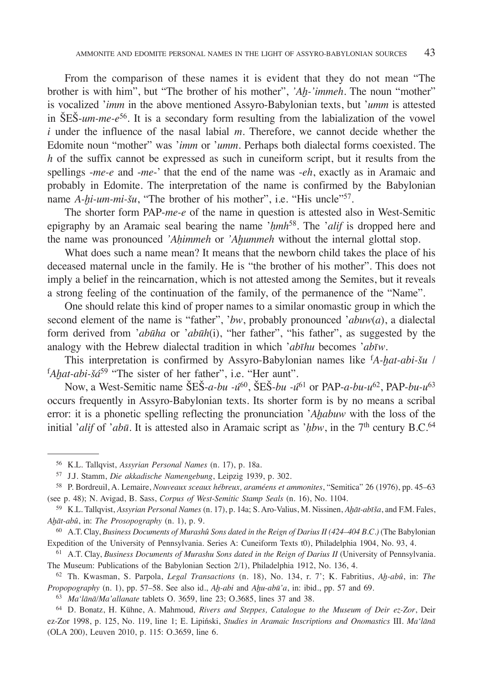From the comparison of these names it is evident that they do not mean "The brother is with him", but "The brother of his mother", *'Aḫ-'immeh*. The noun "mother" is vocalized '*imm* in the above mentioned Assyro-Babylonian texts, but '*umm* is attested in ŠEŠ-*um-me-e*<sup>56</sup>. It is a secondary form resulting from the labialization of the vowel *i* under the influence of the nasal labial *m*. Therefore, we cannot decide whether the Edomite noun "mother" was '*imm* or '*umm*. Perhaps both dialectal forms coexisted. The *h* of the suffix cannot be expressed as such in cuneiform script, but it results from the spellings -*me-e* and -*me*-' that the end of the name was -*eh*, exactly as in Aramaic and probably in Edomite. The interpretation of the name is confirmed by the Babylonian name *A-hi-um-mi-šu*, "The brother of his mother", i.e. "His uncle"<sup>57</sup>.

The shorter form PAP-*me-e* of the name in question is attested also in West-Semitic epigraphy by an Aramaic seal bearing the name '*ḥmh*58*.* The '*alif* is dropped here and the name was pronounced *'Aḥimmeh* or *'Aḫummeh* without the internal glottal stop.

What does such a name mean? It means that the newborn child takes the place of his deceased maternal uncle in the family. He is "the brother of his mother". This does not imply a belief in the reincarnation, which is not attested among the Semites, but it reveals a strong feeling of the continuation of the family, of the permanence of the "Name".

One should relate this kind of proper names to a similar onomastic group in which the second element of the name is "father", '*bw*, probably pronounced '*abuw*(*a*), a dialectal form derived from '*abūha* or '*abūh*(i), "her father", "his father", as suggested by the analogy with the Hebrew dialectal tradition in which '*abīhu* becomes '*abīw*.

This interpretation is confirmed by Assyro-Babylonian names like f *A-ḫat-abi-šu* / f *Aḫat-abi-šá*59 "The sister of her father", i.e. "Her aunt".

Now, a West-Semitic name ŠEŠ-*a-bu -ú*60, ŠEŠ-*bu -ú*61 or PAP-*a-bu-u*62, PAP-*bu-u*<sup>63</sup> occurs frequently in Assyro-Babylonian texts. Its shorter form is by no means a scribal error: it is a phonetic spelling reflecting the pronunciation '*Aḫabuw* with the loss of the initial '*alif* of '*abū*. It is attested also in Aramaic script as '*hbw*, in the 7<sup>th</sup> century B.C.<sup>64</sup>

<sup>56</sup> K.L. Tallqvist, *Assyrian Personal Names* (n. 17), p. 18a.

<sup>57</sup> J.J. Stamm, *Die akkadische Namengebung*, Leipzig 1939, p. 302.

<sup>58</sup> P. Bordreuil, A. Lemaire, *Nouveaux sceaux hébreux, araméens et ammonites*, "Semitica" 26 (1976), pp. 45–63 (see p. 48); N. Avigad, B. Sass, *Corpus of West-Semitic Stamp Seals* (n. 16), No. 1104.

<sup>59</sup> K.L. Tallqvist, *Assyrian Personal Names* (n. 17), p. 14a; S. Aro-Valius, M. Nissinen, *Aḫāt-abīša*, and F.M. Fales, *Aḫāt-abû*, in: *The Prosopography* (n. 1), p. 9.

<sup>60</sup> A.T. Clay, *Business Documents of Murashû Sons dated in the Reign of Darius II (424–404 B.C.)* (The Babylonian Expedition of the University of Pennsylvania. Series A: Cuneiform Texts t0), Philadelphia 1904, No. 93, 4.

<sup>61</sup> A.T. Clay, *Business Documents of Murashu Sons dated in the Reign of Darius II* (University of Pennsylvania. The Museum: Publications of the Babylonian Section 2/1), Philadelphia 1912, No. 136, 4.

<sup>62</sup> Th. Kwasman, S. Parpola, *Legal Transactions* (n. 18), No. 134, r. 7'; K. Fabritius, *Aḫ-abû*, in: *The Propopography* (n. 1), pp. 57–58. See also id., *Aḫ-abi* and *Aḫu-abū'a*, in: ibid., pp. 57 and 69.

<sup>63</sup> *Ma'lānā/Ma'allanate* tablets O. 3659, line 23; O.3685, lines 37 and 38.

<sup>64</sup> D. Bonatz, H. Kühne, A. Mahmoud*, Rivers and Steppes, Catalogue to the Museum of Deir ez-Zor*, Deir ez-Zor 1998, p. 125, No. 119, line 1; E. Lipiński, *Studies in Aramaic Inscriptions and Onomastics* III. *Ma'lānā* (OLA 200), Leuven 2010, p. 115: O.3659, line 6.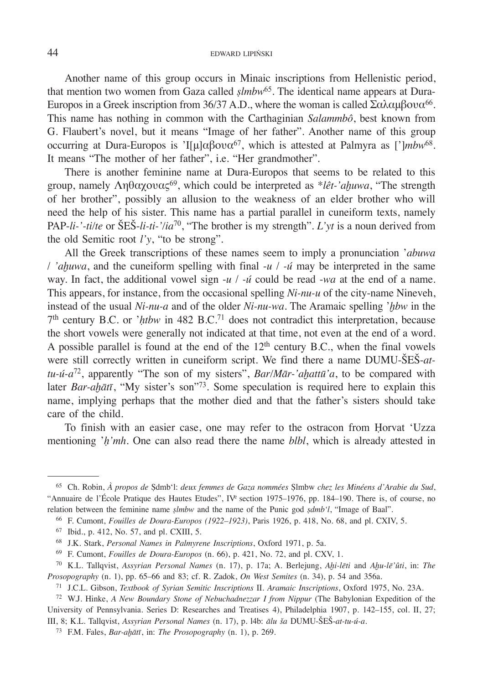## 44 EDWARD LIPIŃSKI

Another name of this group occurs in Minaic inscriptions from Hellenistic period, that mention two women from Gaza called *ṣlmbw*<sup>65</sup>*.* The identical name appears at Dura-Europos in a Greek inscription from 36/37 A.D., where the woman is called  $\Sigma \alpha \lambda \alpha \mu \beta \sigma \nu \alpha^{66}$ . This name has nothing in common with the Carthaginian *Salammbô*, best known from G. Flaubert's novel, but it means "Image of her father". Another name of this group occurring at Dura-Europos is 'I[μ]αβουα<sup>67</sup>, which is attested at Palmyra as [']*mbw*<sup>68</sup>. It means "The mother of her father", i.e. "Her grandmother".

There is another feminine name at Dura-Europos that seems to be related to this group, namely Ληθαχουας69, which could be interpreted as \**lêt-'aḫuwa*, "The strength of her brother", possibly an allusion to the weakness of an elder brother who will need the help of his sister. This name has a partial parallel in cuneiform texts, namely PAP-*li-'-ti/te* or ŠEŠ-*li-ti-'/ia*70, "The brother is my strength". *L'yt* is a noun derived from the old Semitic root *l'y*, "to be strong".

All the Greek transcriptions of these names seem to imply a pronunciation '*abuwa* / *'aḫuwa*, and the cuneiform spelling with final -*u* / *-ú* may be interpreted in the same way. In fact, the additional vowel sign -*u* / *-ú* could be read -*wa* at the end of a name. This appears, for instance, from the occasional spelling *Ni-nu-u* of the city-name Nineveh, instead of the usual *Ni-nu-a* and of the older *Ni-nu-wa*. The Aramaic spelling '*ḫbw* in the 7th century B.C. or '*ḥtbw* in 482 B.C.71 does not contradict this interpretation, because the short vowels were generally not indicated at that time, not even at the end of a word. A possible parallel is found at the end of the  $12<sup>th</sup>$  century B.C., when the final vowels were still correctly written in cuneiform script. We find there a name DUMU-ŠEŠ-*attu-ú-a*72, apparently "The son of my sisters", *Bar/Mār-'aḫattū'a*, to be compared with later *Bar-aḫātī*, "My sister's son"<sup>73</sup>. Some speculation is required here to explain this name, implying perhaps that the mother died and that the father's sisters should take care of the child.

To finish with an easier case, one may refer to the ostracon from Ḥorvat 'Uzza mentioning '*ḥ'mh*. One can also read there the name *blbl*, which is already attested in

<sup>65</sup> Ch. Robin, *À propos de* Ṣdmb'l: *deux femmes de Gaza nommées* Ṣlmbw *chez les Minéens d'Arabie du Sud*, "Annuaire de l'École Pratique des Hautes Etudes", IVe section 1975–1976, pp. 184–190. There is, of course, no relation between the feminine name *ṣlmbw* and the name of the Punic god *ṣdmb'l*, "Image of Baal".

<sup>66</sup> F. Cumont, *Fouilles de Doura-Europos (1922–1923)*, Paris 1926, p. 418, No. 68, and pl. CXIV, 5.

<sup>67</sup> Ibid., p. 412, No. 57, and pl. CXIII, 5.

<sup>68</sup> J.K. Stark, *Personal Names in Palmyrene Inscriptions*, Oxford 1971, p. 5a.

<sup>69</sup> F. Cumont, *Fouilles de Doura-Europos* (n. 66), p. 421, No. 72, and pl. CXV, 1.

<sup>70</sup> K.L. Tallqvist, *Assyrian Personal Names* (n. 17), p. 17a; A. Berlejung, *Aḫi-lēti* and *Aḫu-lē'ûti*, in: *The Prosopography* (n. 1), pp. 65–66 and 83; cf. R. Zadok, *On West Semites* (n. 34), p. 54 and 356a.

<sup>71</sup> J.C.L. Gibson, *Textbook of Syrian Semitic Inscriptions* II. *Aramaic Inscriptions*, Oxford 1975, No. 23A.

<sup>72</sup> W.J. Hinke, *A New Boundary Stone of Nebuchadnezzar I from Nippur* (The Babylonian Expedition of the University of Pennsylvania. Series D: Researches and Treatises 4), Philadelphia 1907, p. 142–155, col. II, 27; III, 8; K.L. Tallqvist, *Assyrian Personal Names* (n. 17), p. l4b: *ālu ša* DUMU-ŠEŠ-*at-tu-ú-a*.

<sup>73</sup> F.M. Fales, *Bar-aḫātī*, in: *The Prosopography* (n. 1), p. 269.